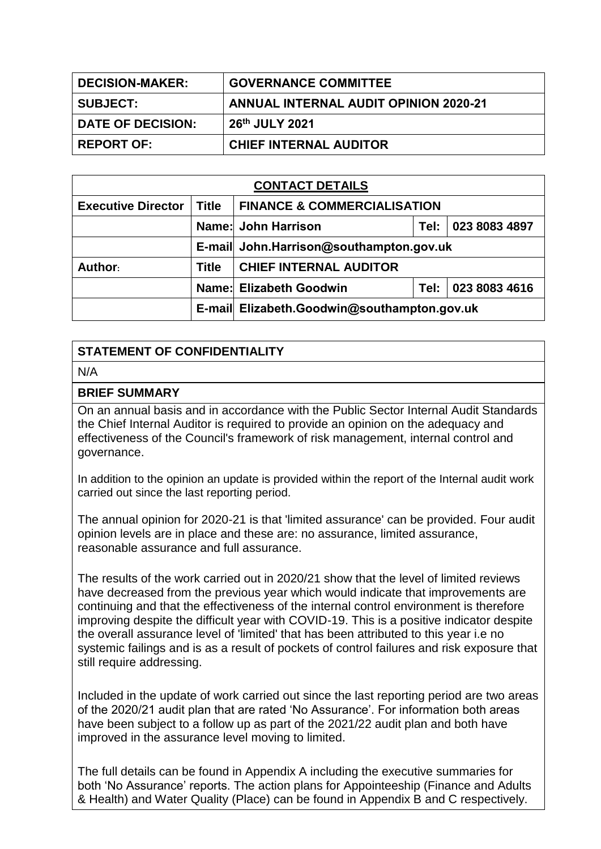| <b>DECISION-MAKER:</b> | <b>GOVERNANCE COMMITTEE</b>                  |
|------------------------|----------------------------------------------|
| <b>SUBJECT:</b>        | <b>ANNUAL INTERNAL AUDIT OPINION 2020-21</b> |
| DATE OF DECISION:      | 26th JULY 2021                               |
| REPORT OF:             | <b>CHIEF INTERNAL AUDITOR</b>                |

| <b>CONTACT DETAILS</b>    |              |                                             |      |               |  |
|---------------------------|--------------|---------------------------------------------|------|---------------|--|
| <b>Executive Director</b> | <b>Title</b> | <b>FINANCE &amp; COMMERCIALISATION</b>      |      |               |  |
|                           |              | Name: John Harrison<br>Tel:                 |      | 023 8083 4897 |  |
|                           |              | E-mail John.Harrison@southampton.gov.uk     |      |               |  |
| Author:                   | Title        | <b>CHIEF INTERNAL AUDITOR</b>               |      |               |  |
|                           |              | Name: Elizabeth Goodwin                     | Tel: | 023 8083 4616 |  |
|                           |              | E-mail Elizabeth.Goodwin@southampton.gov.uk |      |               |  |

## **STATEMENT OF CONFIDENTIALITY**

## N/A

## **BRIEF SUMMARY**

On an annual basis and in accordance with the Public Sector Internal Audit Standards the Chief Internal Auditor is required to provide an opinion on the adequacy and effectiveness of the Council's framework of risk management, internal control and governance.

In addition to the opinion an update is provided within the report of the Internal audit work carried out since the last reporting period.

The annual opinion for 2020-21 is that 'limited assurance' can be provided. Four audit opinion levels are in place and these are: no assurance, limited assurance, reasonable assurance and full assurance.

The results of the work carried out in 2020/21 show that the level of limited reviews have decreased from the previous year which would indicate that improvements are continuing and that the effectiveness of the internal control environment is therefore improving despite the difficult year with COVID-19. This is a positive indicator despite the overall assurance level of 'limited' that has been attributed to this year i.e no systemic failings and is as a result of pockets of control failures and risk exposure that still require addressing.

Included in the update of work carried out since the last reporting period are two areas of the 2020/21 audit plan that are rated 'No Assurance'. For information both areas have been subject to a follow up as part of the 2021/22 audit plan and both have improved in the assurance level moving to limited.

The full details can be found in Appendix A including the executive summaries for both 'No Assurance' reports. The action plans for Appointeeship (Finance and Adults & Health) and Water Quality (Place) can be found in Appendix B and C respectively.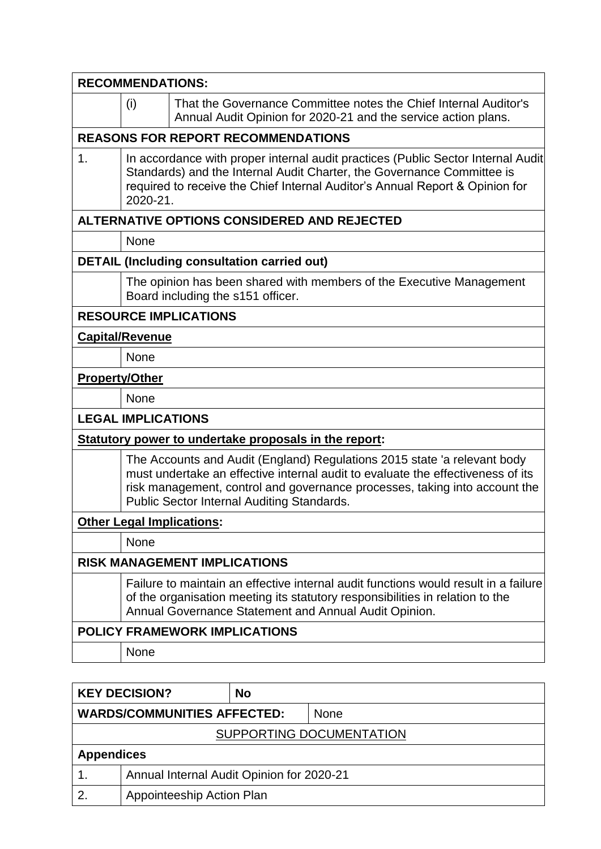| <b>RECOMMENDATIONS:</b>             |                                                                                                                                                                                                                                                                                         |  |  |
|-------------------------------------|-----------------------------------------------------------------------------------------------------------------------------------------------------------------------------------------------------------------------------------------------------------------------------------------|--|--|
|                                     | That the Governance Committee notes the Chief Internal Auditor's<br>(i)<br>Annual Audit Opinion for 2020-21 and the service action plans.                                                                                                                                               |  |  |
|                                     | <b>REASONS FOR REPORT RECOMMENDATIONS</b>                                                                                                                                                                                                                                               |  |  |
| 1.                                  | In accordance with proper internal audit practices (Public Sector Internal Audit<br>Standards) and the Internal Audit Charter, the Governance Committee is<br>required to receive the Chief Internal Auditor's Annual Report & Opinion for<br>2020-21.                                  |  |  |
|                                     | ALTERNATIVE OPTIONS CONSIDERED AND REJECTED                                                                                                                                                                                                                                             |  |  |
|                                     | None                                                                                                                                                                                                                                                                                    |  |  |
|                                     | <b>DETAIL (Including consultation carried out)</b>                                                                                                                                                                                                                                      |  |  |
|                                     | The opinion has been shared with members of the Executive Management<br>Board including the s151 officer.                                                                                                                                                                               |  |  |
|                                     | <b>RESOURCE IMPLICATIONS</b>                                                                                                                                                                                                                                                            |  |  |
|                                     | <b>Capital/Revenue</b>                                                                                                                                                                                                                                                                  |  |  |
|                                     | None                                                                                                                                                                                                                                                                                    |  |  |
| <b>Property/Other</b>               |                                                                                                                                                                                                                                                                                         |  |  |
|                                     | None                                                                                                                                                                                                                                                                                    |  |  |
|                                     | <b>LEGAL IMPLICATIONS</b>                                                                                                                                                                                                                                                               |  |  |
|                                     | Statutory power to undertake proposals in the report:                                                                                                                                                                                                                                   |  |  |
|                                     | The Accounts and Audit (England) Regulations 2015 state 'a relevant body<br>must undertake an effective internal audit to evaluate the effectiveness of its<br>risk management, control and governance processes, taking into account the<br>Public Sector Internal Auditing Standards. |  |  |
|                                     | <b>Other Legal Implications:</b>                                                                                                                                                                                                                                                        |  |  |
|                                     | None                                                                                                                                                                                                                                                                                    |  |  |
| <b>RISK MANAGEMENT IMPLICATIONS</b> |                                                                                                                                                                                                                                                                                         |  |  |
|                                     | Failure to maintain an effective internal audit functions would result in a failure<br>of the organisation meeting its statutory responsibilities in relation to the<br>Annual Governance Statement and Annual Audit Opinion.                                                           |  |  |
|                                     | <b>POLICY FRAMEWORK IMPLICATIONS</b>                                                                                                                                                                                                                                                    |  |  |
|                                     | None                                                                                                                                                                                                                                                                                    |  |  |
|                                     |                                                                                                                                                                                                                                                                                         |  |  |

|                                    | <b>KEY DECISION?</b>                      | <b>No</b> |             |  |
|------------------------------------|-------------------------------------------|-----------|-------------|--|
| <b>WARDS/COMMUNITIES AFFECTED:</b> |                                           |           | <b>None</b> |  |
| SUPPORTING DOCUMENTATION           |                                           |           |             |  |
| <b>Appendices</b>                  |                                           |           |             |  |
|                                    | Annual Internal Audit Opinion for 2020-21 |           |             |  |
| 2.                                 | Appointeeship Action Plan                 |           |             |  |